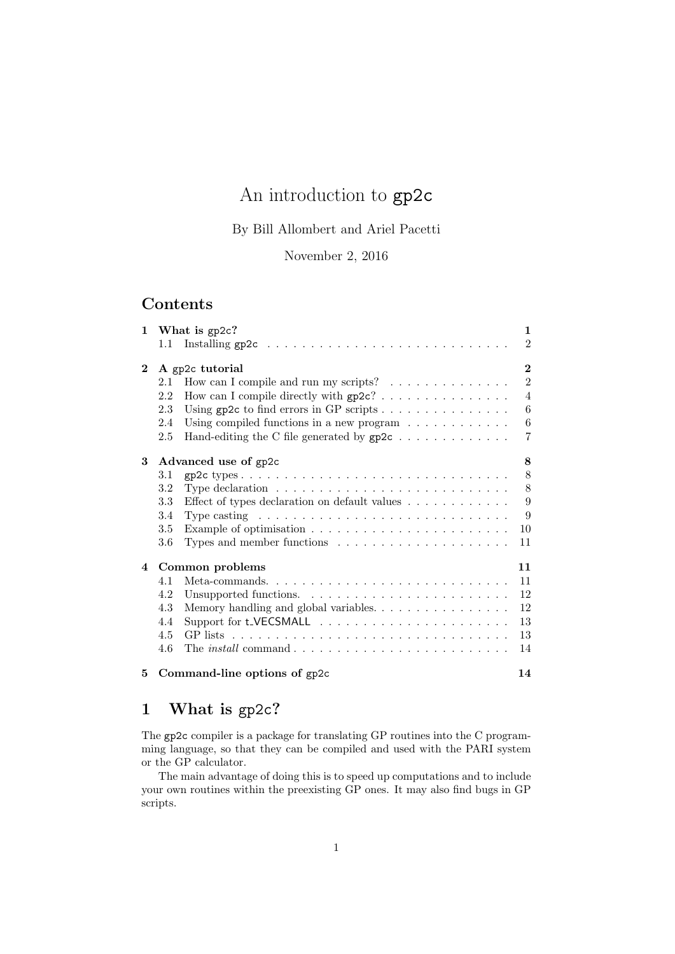# An introduction to gp2c

By Bill Allombert and Ariel Pacetti

November 2, 2016

## Contents

|                |                           | $\mathbf{1}$<br>1 What is $gp2c?$                                                    |                  |  |  |
|----------------|---------------------------|--------------------------------------------------------------------------------------|------------------|--|--|
|                |                           | 1.1 Installing $gp2c \ldots \ldots \ldots \ldots \ldots \ldots \ldots \ldots \ldots$ | $\overline{2}$   |  |  |
| $\bf{2}$       | A gp2c tutorial           |                                                                                      |                  |  |  |
|                | 2.1                       | How can I compile and run my scripts? $\ldots \ldots \ldots \ldots$                  | $\overline{2}$   |  |  |
|                | 2.2                       |                                                                                      | $\overline{4}$   |  |  |
|                | 2.3                       |                                                                                      | 6                |  |  |
|                | 2.4                       | Using compiled functions in a new program $\ldots \ldots \ldots \ldots$              | $\boldsymbol{6}$ |  |  |
|                | 2.5                       | Hand-editing the C file generated by $gp2c \ldots \ldots \ldots \ldots$              | $\overline{7}$   |  |  |
| 3              | 8<br>Advanced use of gp2c |                                                                                      |                  |  |  |
|                | 3.1                       |                                                                                      | 8                |  |  |
|                | 3.2                       | Type declaration $\dots \dots \dots \dots \dots \dots \dots \dots \dots \dots$       | 8                |  |  |
|                | 3.3                       | Effect of types declaration on default values $\dots \dots \dots$                    | 9                |  |  |
|                | 3.4                       | Type casting $\dots \dots \dots \dots \dots \dots \dots \dots \dots \dots \dots$     | 9                |  |  |
|                | 3.5                       | Example of optimisation $\ldots \ldots \ldots \ldots \ldots \ldots \ldots \ldots$    | 10               |  |  |
|                | 3.6                       |                                                                                      | 11               |  |  |
| $\overline{4}$ | 11<br>Common problems     |                                                                                      |                  |  |  |
|                | 4.1                       |                                                                                      | 11               |  |  |
|                | 4.2                       |                                                                                      | 12               |  |  |
|                | 4.3                       | Memory handling and global variables.                                                | 12               |  |  |
|                | 4.4                       |                                                                                      | 13               |  |  |
|                | 4.5                       |                                                                                      | 13               |  |  |
|                | 4.6                       |                                                                                      | 14               |  |  |
| 5.             |                           | 14<br>Command-line options of gp2c                                                   |                  |  |  |

## 1 What is gp2c?

The gp2c compiler is a package for translating GP routines into the C programming language, so that they can be compiled and used with the PARI system or the GP calculator.

The main advantage of doing this is to speed up computations and to include your own routines within the preexisting GP ones. It may also find bugs in GP scripts.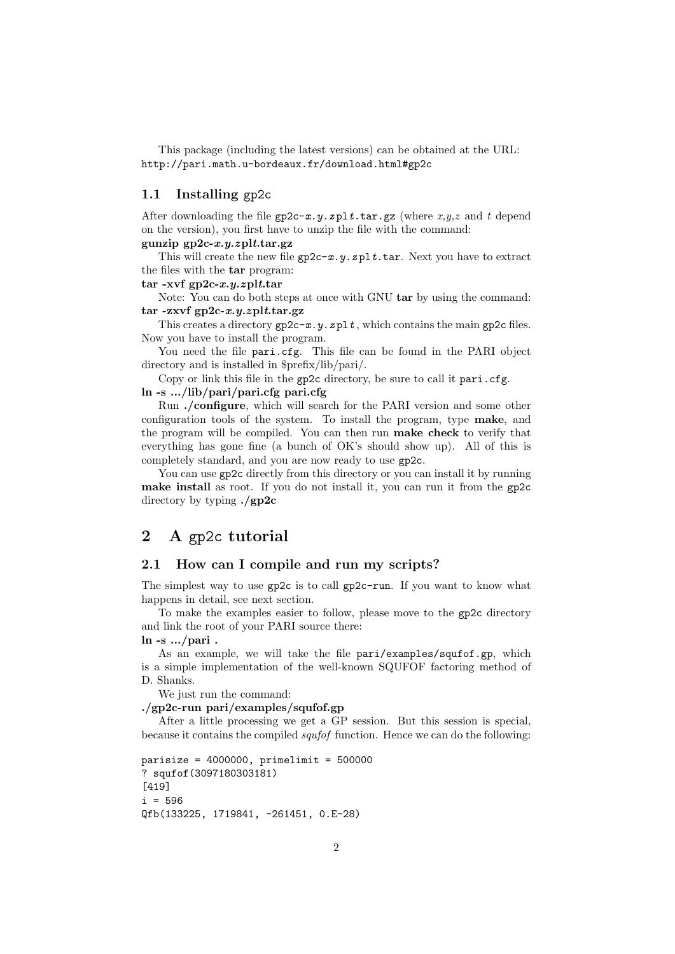This package (including the latest versions) can be obtained at the URL: http://pari.math.u-bordeaux.fr/download.html#gp2c

#### 1.1 Installing gp2c

After downloading the file  $gp2c-x.y.zp1t.tar.gz$  (where  $x,y,z$  and t depend on the version), you first have to unzip the file with the command:

### gunzip  $gp2c-x,y,zplt.$ tar.gz

This will create the new file  $gp2c-x.y.zp1t.tar$ . Next you have to extract the files with the tar program:

tar -xvf  $gp2c-x.y.zplt.tar$ 

Note: You can do both steps at once with GNU tar by using the command: tar -zxvf  $gp2c-x,y,zplt.tar.gz$ 

This creates a directory  $gp2c-x,y,zp1t$ , which contains the main gp2c files. Now you have to install the program.

You need the file pari.cfg. This file can be found in the PARI object directory and is installed in \$prefix/lib/pari/.

Copy or link this file in the gp2c directory, be sure to call it pari.cfg. ln -s .../lib/pari/pari.cfg pari.cfg

Run ./configure, which will search for the PARI version and some other configuration tools of the system. To install the program, type make, and the program will be compiled. You can then run make check to verify that everything has gone fine (a bunch of OK's should show up). All of this is completely standard, and you are now ready to use gp2c.

You can use gp2c directly from this directory or you can install it by running make install as root. If you do not install it, you can run it from the gp2c directory by typing ./gp2c

## 2 A gp2c tutorial

#### 2.1 How can I compile and run my scripts?

The simplest way to use gp2c is to call gp2c-run. If you want to know what happens in detail, see next section.

To make the examples easier to follow, please move to the gp2c directory and link the root of your PARI source there:

 $\ln$  -s .../pari.

As an example, we will take the file pari/examples/squfof.gp, which is a simple implementation of the well-known SQUFOF factoring method of D. Shanks.

We just run the command:

#### ./gp2c-run pari/examples/squfof.gp

After a little processing we get a GP session. But this session is special, because it contains the compiled squfof function. Hence we can do the following:

```
parisize = 4000000, primelimit = 500000
? squfof(3097180303181)
[419]
i = 596Qfb(133225, 1719841, -261451, 0.E-28)
```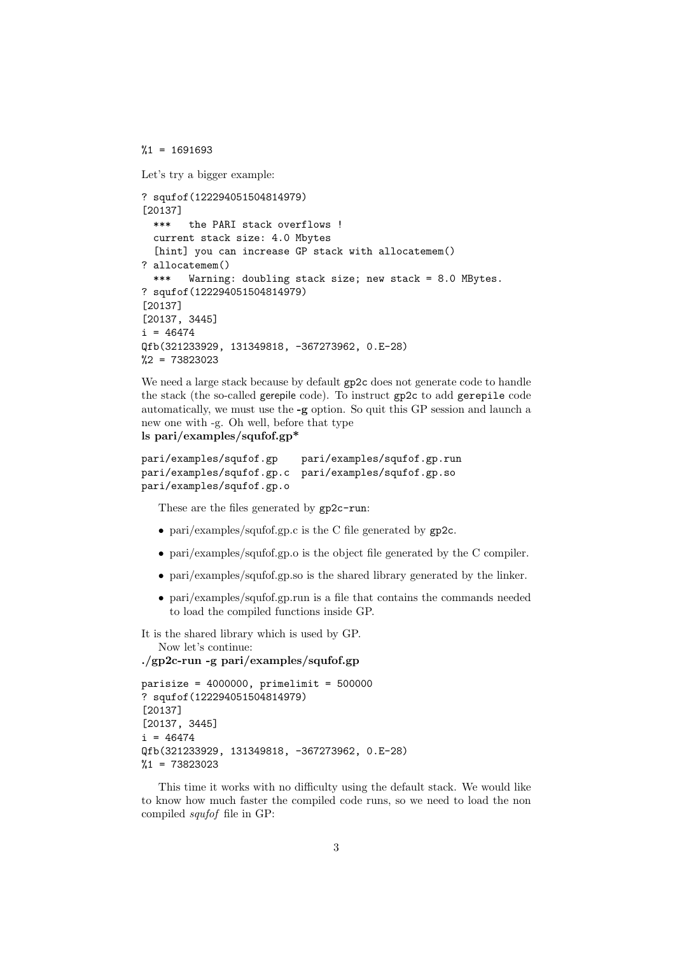$\frac{0.1}{1}$  = 1691693

```
Let's try a bigger example:
```

```
? squfof(122294051504814979)
[20137]
  *** the PARI stack overflows !
  current stack size: 4.0 Mbytes
  [hint] you can increase GP stack with allocatemem()
? allocatemem()
  *** Warning: doubling stack size; new stack = 8.0 MBytes.
? squfof(122294051504814979)
[20137]
[20137, 3445]
i = 46474Qfb(321233929, 131349818, -367273962, 0.E-28)
\frac{9}{2} = 73823023
```
We need a large stack because by default gp2c does not generate code to handle the stack (the so-called gerepile code). To instruct gp2c to add gerepile code automatically, we must use the -g option. So quit this GP session and launch a new one with -g. Oh well, before that type ls pari/examples/squfof.gp\*

```
pari/examples/squfof.gp pari/examples/squfof.gp.run
pari/examples/squfof.gp.c pari/examples/squfof.gp.so
pari/examples/squfof.gp.o
```
These are the files generated by gp2c-run:

- pari/examples/squfof.gp.c is the C file generated by gp2c.
- pari/examples/squfof.gp.o is the object file generated by the C compiler.
- pari/examples/squfof.gp.so is the shared library generated by the linker.
- pari/examples/squfof.gp.run is a file that contains the commands needed to load the compiled functions inside GP.

It is the shared library which is used by GP. Now let's continue:

```
./gp2c-run -g pari/examples/squfof.gp
```

```
parisize = 4000000, primelimit = 500000? squfof(122294051504814979)
[20137]
[20137, 3445]
i = 46474Qfb(321233929, 131349818, -367273962, 0.E-28)
%1 = 73823023
```
This time it works with no difficulty using the default stack. We would like to know how much faster the compiled code runs, so we need to load the non compiled squfof file in GP: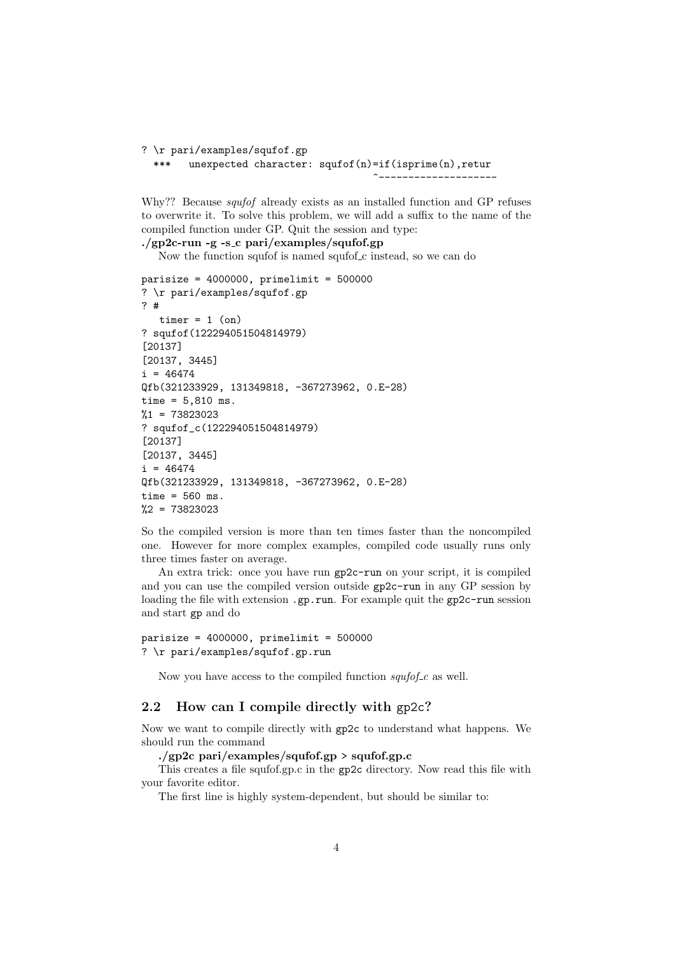```
? \r pari/examples/squfof.gp
  *** unexpected character: squfof(n)=if(isprime(n),retur
                                       ^--------------------
```
Why?? Because *squfof* already exists as an installed function and GP refuses to overwrite it. To solve this problem, we will add a suffix to the name of the compiled function under GP. Quit the session and type:

 $./gp2c$ -run -g -s\_c pari/examples/squfof.gp Now the function squfof is named squfof c instead, so we can do

```
parisize = 4000000, primelimit = 500000? \r pari/examples/squfof.gp
? #
   timer = 1 (on)
? squfof(122294051504814979)
[20137]
[20137, 3445]
i = 46474Qfb(321233929, 131349818, -367273962, 0.E-28)
time = 5,810 ms.
%1 = 73823023? squfof_c(122294051504814979)
[20137]
[20137, 3445]
i = 46474Qfb(321233929, 131349818, -367273962, 0.E-28)
time = 560 ms.
%2 = 73823023
```
So the compiled version is more than ten times faster than the noncompiled one. However for more complex examples, compiled code usually runs only three times faster on average.

An extra trick: once you have run gp2c-run on your script, it is compiled and you can use the compiled version outside gp2c-run in any GP session by loading the file with extension .gp.run. For example quit the gp2c-run session and start gp and do

```
parisize = 4000000, primelimit = 500000? \r pari/examples/squfof.gp.run
```
Now you have access to the compiled function  $\frac{sqrtof}{c}$  as well.

## 2.2 How can I compile directly with gp2c?

Now we want to compile directly with gp2c to understand what happens. We should run the command

#### ./gp2c pari/examples/squfof.gp > squfof.gp.c

This creates a file squfof.gp.c in the gp2c directory. Now read this file with your favorite editor.

The first line is highly system-dependent, but should be similar to: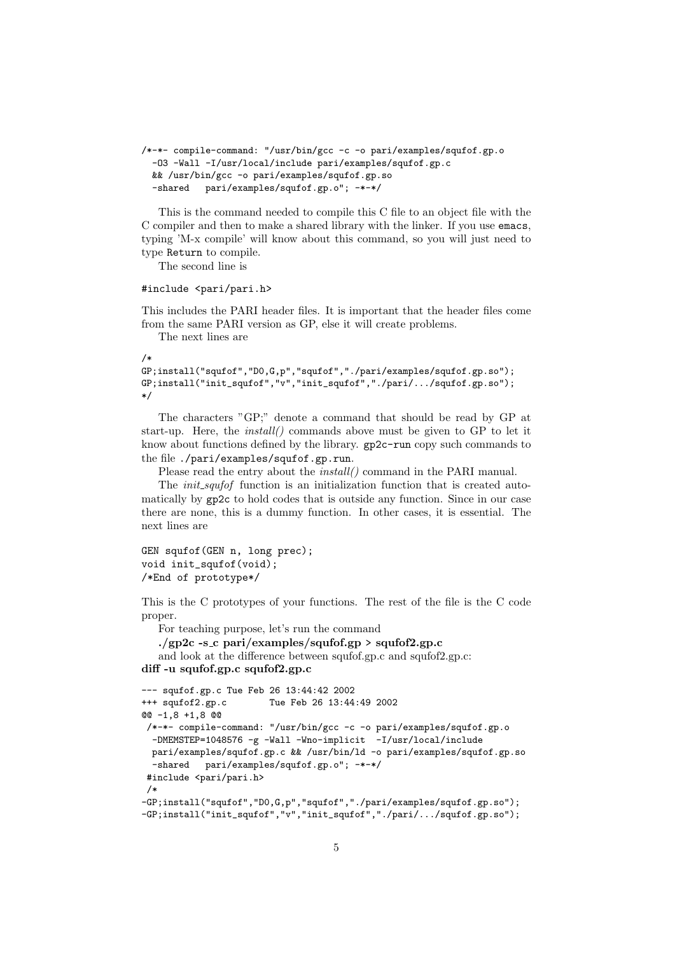```
/*-*- compile-command: "/usr/bin/gcc -c -o pari/examples/squfof.gp.o
 -O3 -Wall -I/usr/local/include pari/examples/squfof.gp.c
 && /usr/bin/gcc -o pari/examples/squfof.gp.so
 -shared pari/examples/squfof.gp.o"; -*-*/
```
This is the command needed to compile this C file to an object file with the C compiler and then to make a shared library with the linker. If you use emacs, typing 'M-x compile' will know about this command, so you will just need to type Return to compile.

The second line is

#### #include <pari/pari.h>

This includes the PARI header files. It is important that the header files come from the same PARI version as GP, else it will create problems.

The next lines are

```
/*
GP;install("squfof","D0,G,p","squfof","./pari/examples/squfof.gp.so");
GP;install("init_squfof","v","init_squfof","./pari/.../squfof.gp.so");
*/
```
The characters "GP;" denote a command that should be read by GP at start-up. Here, the install() commands above must be given to GP to let it know about functions defined by the library. gp2c-run copy such commands to the file ./pari/examples/squfof.gp.run.

Please read the entry about the *install*() command in the PARI manual.

The *init\_squfof* function is an initialization function that is created automatically by gp2c to hold codes that is outside any function. Since in our case there are none, this is a dummy function. In other cases, it is essential. The next lines are

```
GEN squfof(GEN n, long prec);
void init_squfof(void);
/*End of prototype*/
```
This is the C prototypes of your functions. The rest of the file is the C code proper.

For teaching purpose, let's run the command

```
./gp2c -s c pari/examples/squfof.gp > squfof2.gp.c
   and look at the difference between squfof.gp.c and squfof2.gp.c:
diff -u squfof.gp.c squfof2.gp.c
```

```
--- squfof.gp.c Tue Feb 26 13:44:42 2002
+++ squfof2.gp.c Tue Feb 26 13:44:49 2002
@@ -1,8 +1,8 @@
/*-*- compile-command: "/usr/bin/gcc -c -o pari/examples/squfof.gp.o
 -DMEMSTEP=1048576 -g -Wall -Wno-implicit -I/usr/local/include
 pari/examples/squfof.gp.c && /usr/bin/ld -o pari/examples/squfof.gp.so
 -shared pari/examples/squfof.gp.o"; -*-*/
#include <pari/pari.h>
/*
-GP;install("squfof","D0,G,p","squfof","./pari/examples/squfof.gp.so");
-GP;install("init_squfof","v","init_squfof","./pari/.../squfof.gp.so");
```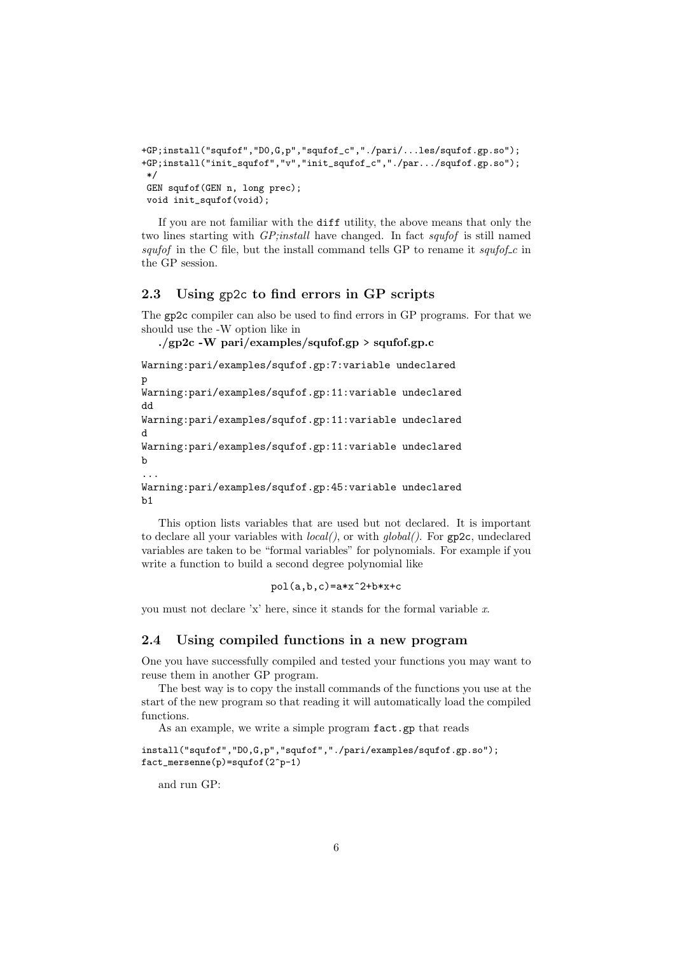```
+GP;install("squfof","D0,G,p","squfof_c","./pari/...les/squfof.gp.so");
+GP;install("init_squfof","v","init_squfof_c","./par.../squfof.gp.so");
*/
GEN squfof(GEN n, long prec);
void init_squfof(void);
```
If you are not familiar with the diff utility, the above means that only the two lines starting with *GP*;*install* have changed. In fact *squfof* is still named squfof in the C file, but the install command tells GP to rename it squfof c in the GP session.

## 2.3 Using gp2c to find errors in GP scripts

The gp2c compiler can also be used to find errors in GP programs. For that we should use the -W option like in

./gp2c -W pari/examples/squfof.gp > squfof.gp.c

Warning:pari/examples/squfof.gp:7:variable undeclared p Warning:pari/examples/squfof.gp:11:variable undeclared

dd Warning:pari/examples/squfof.gp:11:variable undeclared d Warning:pari/examples/squfof.gp:11:variable undeclared b ...

```
Warning:pari/examples/squfof.gp:45:variable undeclared
b1
```
This option lists variables that are used but not declared. It is important to declare all your variables with  $local()$ , or with  $global()$ . For  $gp2c$ , undeclared variables are taken to be "formal variables" for polynomials. For example if you write a function to build a second degree polynomial like

pol(a,b,c)=a\*x^2+b\*x+c

you must not declare 'x' here, since it stands for the formal variable x.

## 2.4 Using compiled functions in a new program

One you have successfully compiled and tested your functions you may want to reuse them in another GP program.

The best way is to copy the install commands of the functions you use at the start of the new program so that reading it will automatically load the compiled functions.

As an example, we write a simple program  $fact.$ gp that reads

```
install("squfof","D0,G,p","squfof","./pari/examples/squfof.gp.so");
fact_mersenne(p)=squfof(2^p-1)
```
and run GP: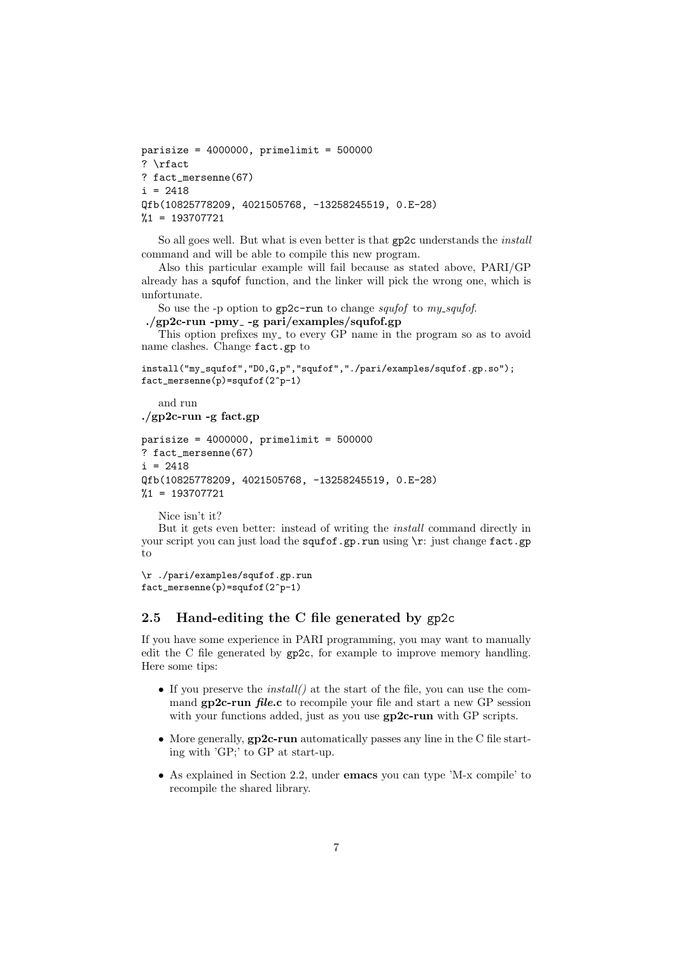```
parisize = 4000000, primelimit = 500000? \rfact
? fact_mersenne(67)
i = 2418Qfb(10825778209, 4021505768, -13258245519, 0.E-28)
%1 = 193707721
```
So all goes well. But what is even better is that gp2c understands the install command and will be able to compile this new program.

Also this particular example will fail because as stated above, PARI/GP already has a squfof function, and the linker will pick the wrong one, which is unfortunate.

So use the -p option to gp2c-run to change *squfof* to my\_squfof.

```
./gp2c-run -pmy<sub>-</sub> -g pari/examples/squfof.gp
```
This option prefixes my to every GP name in the program so as to avoid name clashes. Change fact.gp to

```
install("my_squfof","D0,G,p","squfof","./pari/examples/squfof.gp.so");
fact_mersenne(p)=squfof(2^p-1)
```
and run ./gp2c-run -g fact.gp

```
parisize = 4000000, primelimit = 500000? fact_mersenne(67)
i = 2418Qfb(10825778209, 4021505768, -13258245519, 0.E-28)
%1 = 193707721
```
Nice isn't it?

But it gets even better: instead of writing the install command directly in your script you can just load the squfof.gp.run using \r: just change fact.gp to

```
\r ./pari/examples/squfof.gp.run
fact_mersenne(p)=squfof(2^p-1)
```
## 2.5 Hand-editing the C file generated by gp2c

If you have some experience in PARI programming, you may want to manually edit the C file generated by gp2c, for example to improve memory handling. Here some tips:

- If you preserve the *install()* at the start of the file, you can use the command gp2c-run *file.c* to recompile your file and start a new GP session with your functions added, just as you use  $gp2c$ -run with GP scripts.
- More generally, gp2c-run automatically passes any line in the C file starting with 'GP;' to GP at start-up.
- As explained in Section 2.2, under emacs you can type 'M-x compile' to recompile the shared library.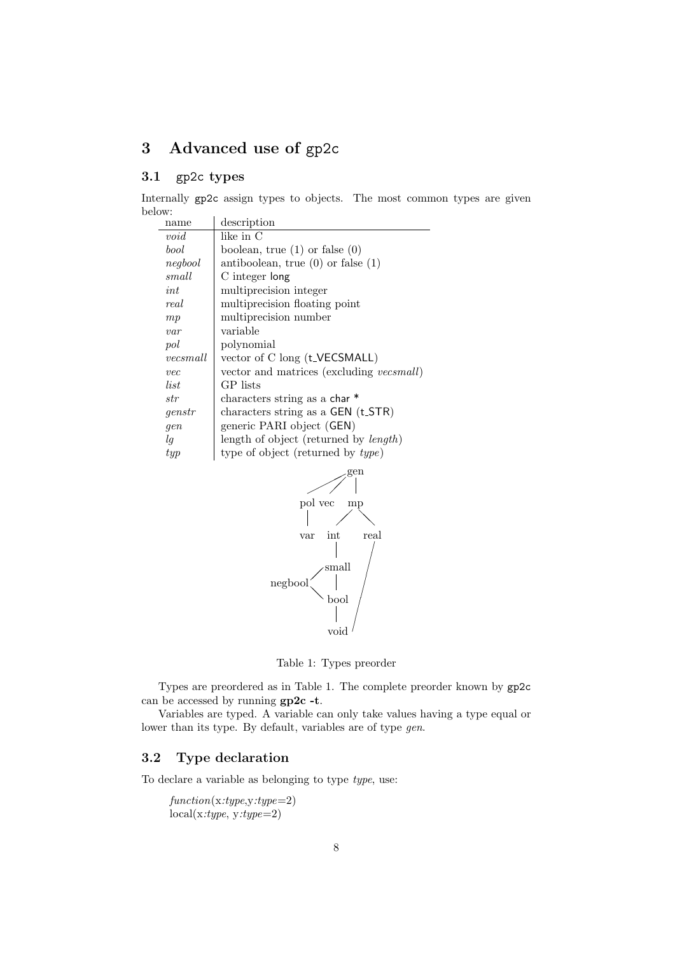## 3 Advanced use of gp2c

## 3.1 gp2c types

Internally gp2c assign types to objects. The most common types are given below:  $\overline{a}$ description

| name     | description                                   |
|----------|-----------------------------------------------|
| void     | like in C                                     |
| bool     | boolean, true $(1)$ or false $(0)$            |
| negbool  | antiboolean, true $(0)$ or false $(1)$        |
| small    | C integer long                                |
| int      | multiprecision integer                        |
| real     | multiprecision floating point                 |
| mp       | multiprecision number                         |
| var      | variable                                      |
| pol      | polynomial                                    |
| vecsmall | vector of C long (t_VECSMALL)                 |
| vec      | vector and matrices (excluding vecsmall)      |
| list     | GP lists                                      |
| str      | characters string as a char*                  |
| genstr   | characters string as a GEN (t_STR)            |
| gen      | generic PARI object (GEN)                     |
| lg       | length of object (returned by <i>length</i> ) |
| $_{typ}$ | type of object (returned by type)             |



Table 1: Types preorder

Types are preordered as in Table 1. The complete preorder known by gp2c can be accessed by running gp2c -t.

Variables are typed. A variable can only take values having a type equal or lower than its type. By default, variables are of type gen.

## 3.2 Type declaration

To declare a variable as belonging to type type, use:

 $function(x:type, y:type=2)$  $local(x:type, y:type=2)$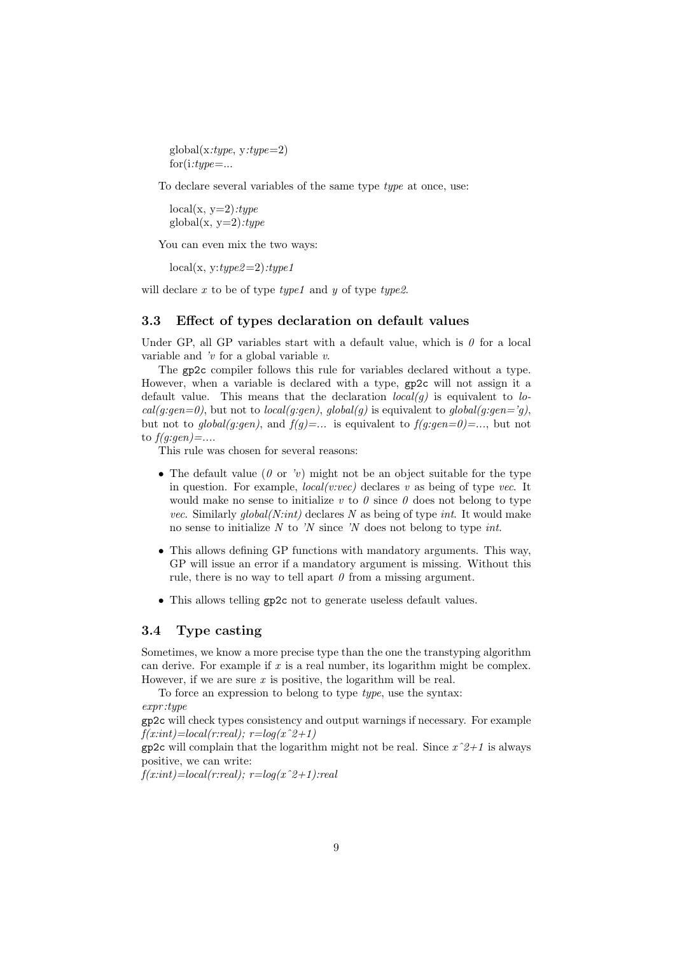global(x:type, y:type=2)  $for (i: type = \dots$ 

To declare several variables of the same type type at once, use:

 $local(x, y=2):type$  $\text{global}(x, y=2): type$ 

You can even mix the two ways:

 $local(x, y:true2=2):true1$ 

will declare  $x$  to be of type  $type1$  and  $y$  of type  $type2$ .

#### 3.3 Effect of types declaration on default values

Under GP, all GP variables start with a default value, which is  $\theta$  for a local variable and  $\dot{v}$  for a global variable  $v$ .

The gp2c compiler follows this rule for variables declared without a type. However, when a variable is declared with a type, gp2c will not assign it a default value. This means that the declaration  $local(q)$  is equivalent to lo $cal(g:gen=0)$ , but not to  $local(g:gen)$ ,  $global(g)$  is equivalent to  $global(g:gen=j)$ , but not to global(g:gen), and  $f(g) = \ldots$  is equivalent to  $f(g:gen=0) = \ldots$ , but not to  $f(q:gen) = \dots$ 

This rule was chosen for several reasons:

- The default value ( $\theta$  or 'v) might not be an object suitable for the type in question. For example,  $local(v:vec)$  declares v as being of type vec. It would make no sense to initialize v to  $\theta$  since  $\theta$  does not belong to type *vec.* Similarly  $global(N:int)$  declares N as being of type int. It would make no sense to initialize  $N$  to ' $N$  since ' $N$  does not belong to type *int*.
- This allows defining GP functions with mandatory arguments. This way, GP will issue an error if a mandatory argument is missing. Without this rule, there is no way to tell apart  $\theta$  from a missing argument.
- This allows telling gp2c not to generate useless default values.

## 3.4 Type casting

Sometimes, we know a more precise type than the one the transtyping algorithm can derive. For example if  $x$  is a real number, its logarithm might be complex. However, if we are sure  $x$  is positive, the logarithm will be real.

To force an expression to belong to type type, use the syntax: expr :type

gp2c will check types consistency and output warnings if necessary. For example  $f(x:int)=local(r:real); r=log(x^2+1)$ 

gp2c will complain that the logarithm might not be real. Since  $x^2+1$  is always positive, we can write:

 $f(x:int)=local(r:real); r=log(x^2+1):real$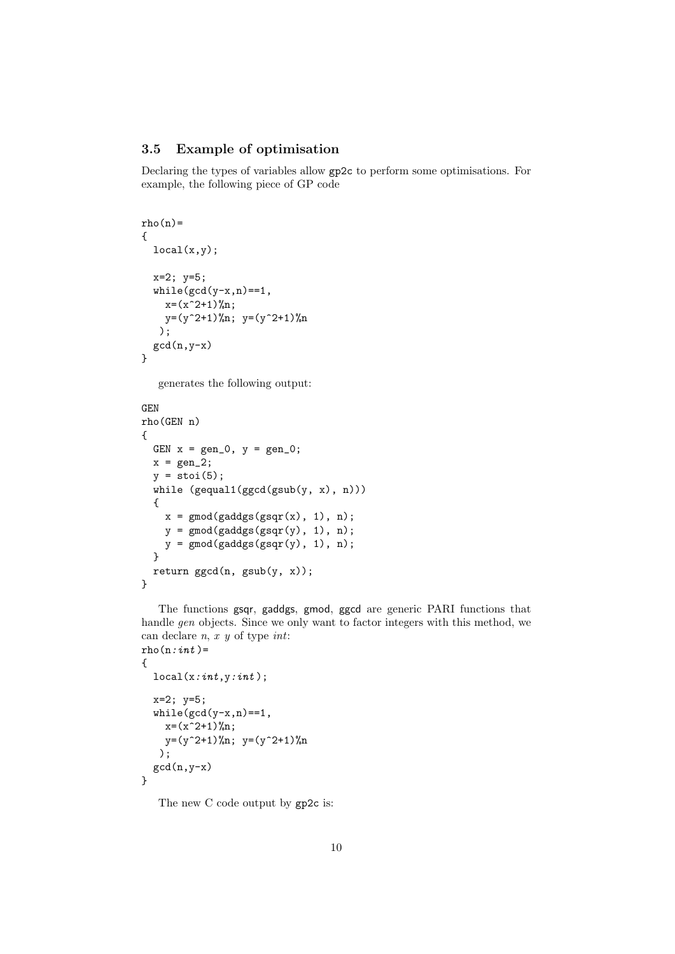## 3.5 Example of optimisation

Declaring the types of variables allow gp2c to perform some optimisations. For example, the following piece of GP code

```
rho(n)=
{
  local(x,y);x=2; y=5;
  while(gcd(y-x,n)=1,x=(x^2+1)\gamma_n;y=(y^2+1)\gamma_n; y=(y^2+1)\gamma_n);
  gcd(n, y-x)}
```
generates the following output:

```
GEN
rho(GEN n)
{
  GEN x = gen_0, y = gen_0;x = gen_2;y = \text{stoi}(5);
  while (gequal1(ggcd(gsub(y, x), n))){
    x = \text{gmod}(gaddgs(gsgr(x), 1), n);y = \text{gmod}(\text{gaddgs}(\text{gsqr}(y), 1), n);y = gmod(gaddgs(gsqr(y), 1), n);
  }
  return ggcd(n, gsub(y, x));
}
```
The functions gsqr, gaddgs, gmod, ggcd are generic PARI functions that handle gen objects. Since we only want to factor integers with this method, we can declare  $n, x, y$  of type  $int:$  $rho(n:int)$  =

```
{
  local(x:int, y:int);
  x=2; y=5;
  while(gcd(y-x,n)==1,
    x=(x^2+1)\gamma_n;y=(y^2+1)\gamma_n; y=(y^2+1)\gamma_n);
  gcd(n, y-x)}
```
The new C code output by gp2c is: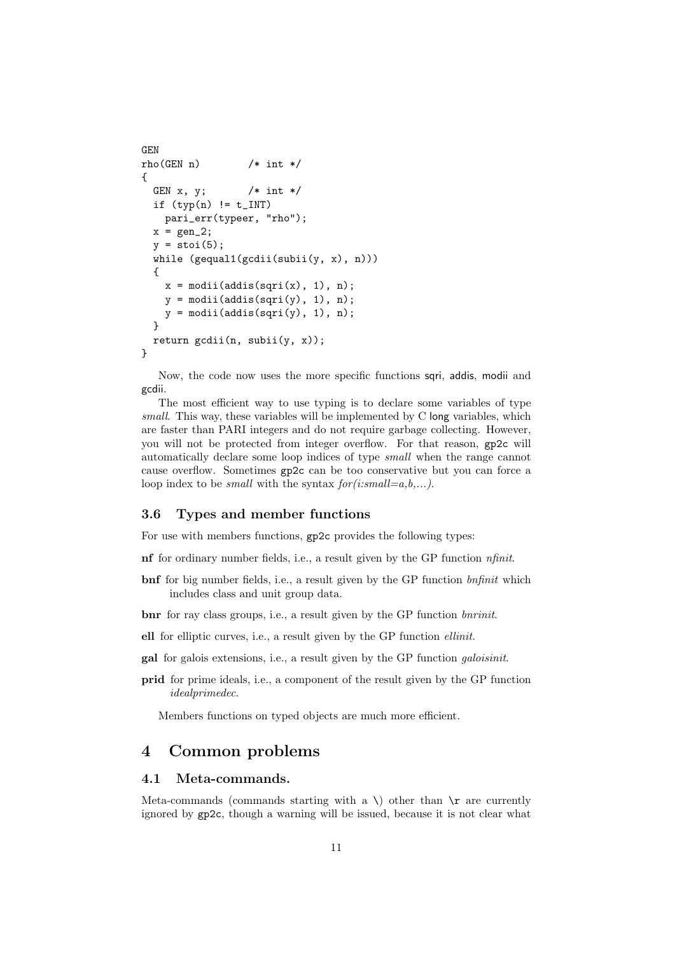```
GEN
rho(GEN n) /* int */{
  GEN x, y; /* int */if (typ(n) != t_IINTpari_err(typeer, "rho");
  x = \text{gen}_2;
  y = \text{stoi}(5);
  while (gequal1(gcdii(subii(y, x), n)))
  {
    x = \text{modii}(\text{addis}(\text{sqrt}(x), 1), n);y = \text{modii}(\text{addis}(\text{sqrt}(y), 1), n);y = \text{modii}(\text{addis}(\text{sqrt}(y), 1), n);}
  return gcdii(n, subii(y, x));
}
```
Now, the code now uses the more specific functions sqri, addis, modii and gcdii.

The most efficient way to use typing is to declare some variables of type small. This way, these variables will be implemented by C long variables, which are faster than PARI integers and do not require garbage collecting. However, you will not be protected from integer overflow. For that reason, gp2c will automatically declare some loop indices of type small when the range cannot cause overflow. Sometimes gp2c can be too conservative but you can force a loop index to be *small* with the syntax  $for (i:small=a,b,...).$ 

## 3.6 Types and member functions

For use with members functions, gp2c provides the following types:

nf for ordinary number fields, i.e., a result given by the GP function nfinit.

bnf for big number fields, i.e., a result given by the GP function *bnfinit* which includes class and unit group data.

bnr for ray class groups, i.e., a result given by the GP function *bnrinit*.

ell for elliptic curves, i.e., a result given by the GP function ellinit.

gal for galois extensions, i.e., a result given by the GP function galoisinit.

prid for prime ideals, i.e., a component of the result given by the GP function idealprimedec.

Members functions on typed objects are much more efficient.

## 4 Common problems

#### 4.1 Meta-commands.

Meta-commands (commands starting with a \) other than  $\mathcal{F}$  are currently ignored by gp2c, though a warning will be issued, because it is not clear what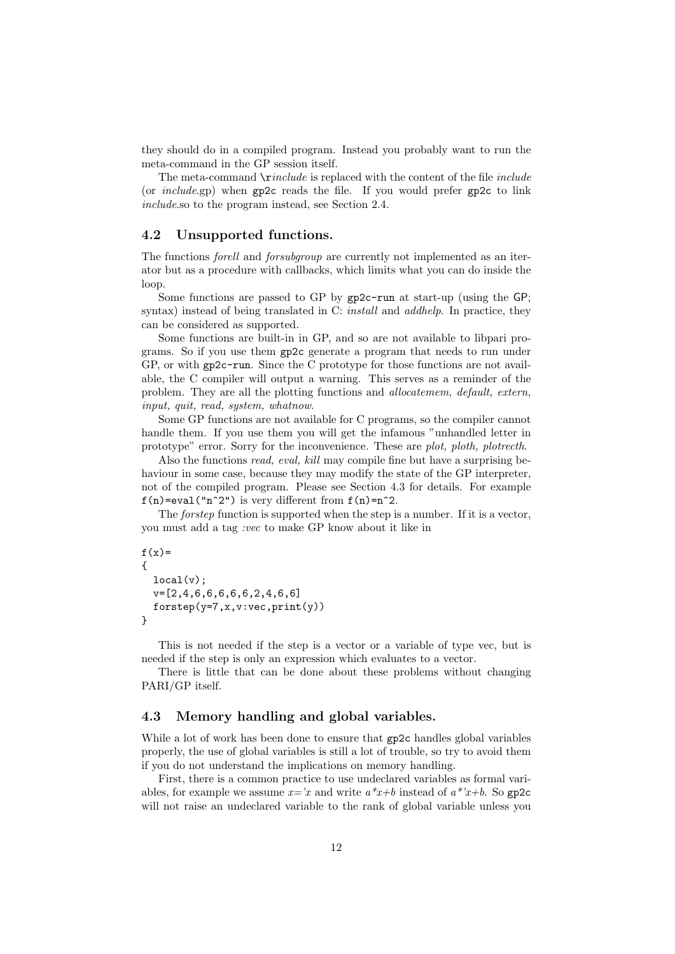they should do in a compiled program. Instead you probably want to run the meta-command in the GP session itself.

The meta-command  $\mathcal{L}$  is replaced with the content of the file *include* (or include.gp) when gp2c reads the file. If you would prefer gp2c to link include.so to the program instead, see Section 2.4.

#### 4.2 Unsupported functions.

The functions forell and forsubgroup are currently not implemented as an iterator but as a procedure with callbacks, which limits what you can do inside the loop.

Some functions are passed to GP by gp2c-run at start-up (using the GP; syntax) instead of being translated in C: *install* and *addhelp*. In practice, they can be considered as supported.

Some functions are built-in in GP, and so are not available to libpari programs. So if you use them gp2c generate a program that needs to run under GP, or with gp2c-run. Since the C prototype for those functions are not available, the C compiler will output a warning. This serves as a reminder of the problem. They are all the plotting functions and allocatemem, default, extern, input, quit, read, system, whatnow.

Some GP functions are not available for C programs, so the compiler cannot handle them. If you use them you will get the infamous "unhandled letter in prototype" error. Sorry for the inconvenience. These are plot, ploth, plotrecth.

Also the functions read, eval, kill may compile fine but have a surprising behaviour in some case, because they may modify the state of the GP interpreter, not of the compiled program. Please see Section 4.3 for details. For example  $f(n)$ =eval("n^2") is very different from  $f(n)=n$ ^2.

The *forstep* function is supported when the step is a number. If it is a vector, you must add a tag :vec to make GP know about it like in

```
f(x)=
{
  local(v);v=[2,4,6,6,6,6,6,2,4,6,6]
  forstep(y=7,x,v:vec,print(y))
}
```
This is not needed if the step is a vector or a variable of type vec, but is needed if the step is only an expression which evaluates to a vector.

There is little that can be done about these problems without changing PARI/GP itself.

#### 4.3 Memory handling and global variables.

While a lot of work has been done to ensure that  $gp2c$  handles global variables properly, the use of global variables is still a lot of trouble, so try to avoid them if you do not understand the implications on memory handling.

First, there is a common practice to use undeclared variables as formal variables, for example we assume  $x=x$  and write  $a*x+b$  instead of  $a*x+b$ . So gp2c will not raise an undeclared variable to the rank of global variable unless you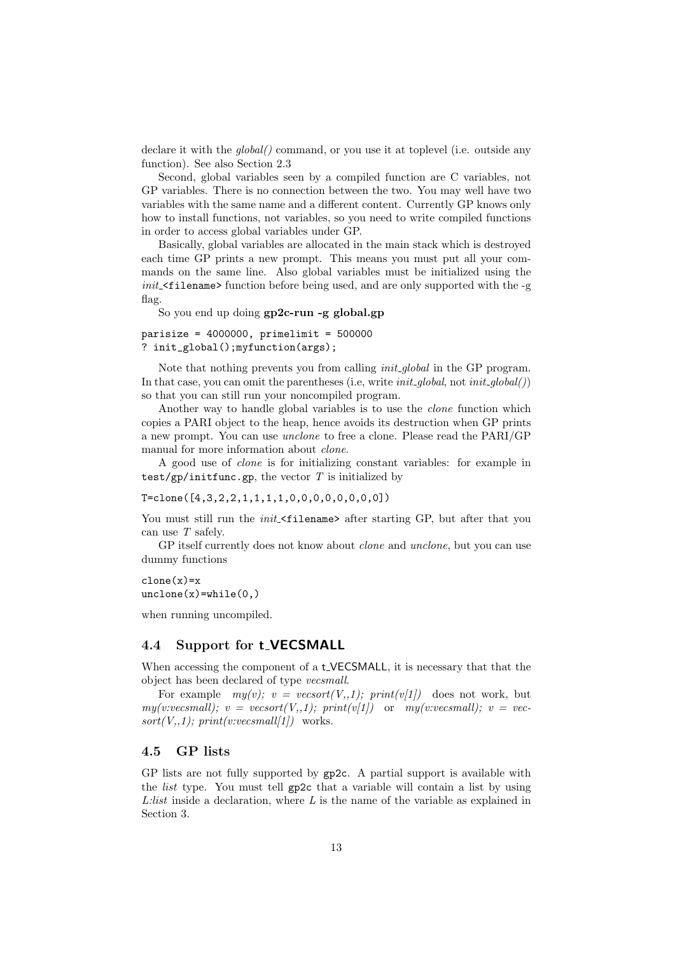declare it with the *global*() command, or you use it at toplevel (i.e. outside any function). See also Section 2.3

Second, global variables seen by a compiled function are C variables, not GP variables. There is no connection between the two. You may well have two variables with the same name and a different content. Currently GP knows only how to install functions, not variables, so you need to write compiled functions in order to access global variables under GP.

Basically, global variables are allocated in the main stack which is destroyed each time GP prints a new prompt. This means you must put all your commands on the same line. Also global variables must be initialized using the  $init$ - $\text{filename}$  function before being used, and are only supported with the -g flag.

So you end up doing gp2c-run -g global.gp

 $parisize = 4000000$ ,  $primelimit = 500000$ ? init\_global();myfunction(args);

Note that nothing prevents you from calling *init\_global* in the GP program. In that case, you can omit the parentheses (i.e., write  $init\_global$ , not  $init\_global()$ ) so that you can still run your noncompiled program.

Another way to handle global variables is to use the *clone* function which copies a PARI object to the heap, hence avoids its destruction when GP prints a new prompt. You can use unclone to free a clone. Please read the PARI/GP manual for more information about *clone*.

A good use of clone is for initializing constant variables: for example in test/gp/initfunc.gp, the vector  $T$  is initialized by

T=clone([4,3,2,2,1,1,1,1,0,0,0,0,0,0,0,0])

You must still run the *init*  $\leq$  filename> after starting GP, but after that you can use  $T$  safely.

GP itself currently does not know about *clone* and *unclone*, but you can use dummy functions

 $clone(x)=x$  $unclone(x)=while(0,)$ 

when running uncompiled.

## 4.4 Support for t\_VECSMALL

When accessing the component of a t-VECSMALL, it is necessary that that the object has been declared of type vecsmall.

For example  $my(v)$ ;  $v = v\epsilon sort(V, 1)$ ;  $print(v[1])$  does not work, but  $my(v:vecsmall); v = vesort(V,1); print(v[1])$  or  $my(v:vecsmall); v = vec$  $sort(V, 1)$ ;  $print(v:vecsmall/1)$  works.

## 4.5 GP lists

GP lists are not fully supported by gp2c. A partial support is available with the list type. You must tell gp2c that a variable will contain a list by using L:list inside a declaration, where L is the name of the variable as explained in Section 3.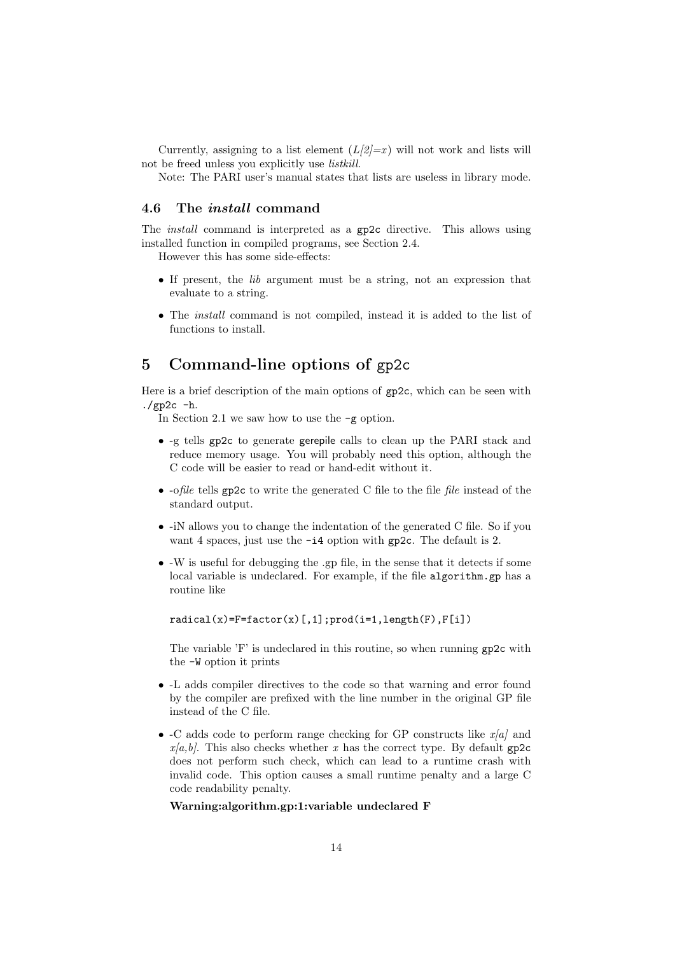Currently, assigning to a list element  $(L/2)=x$ ) will not work and lists will not be freed unless you explicitly use listkill.

Note: The PARI user's manual states that lists are useless in library mode.

## 4.6 The install command

The install command is interpreted as a gp2c directive. This allows using installed function in compiled programs, see Section 2.4.

However this has some side-effects:

- If present, the lib argument must be a string, not an expression that evaluate to a string.
- The install command is not compiled, instead it is added to the list of functions to install.

## 5 Command-line options of gp2c

Here is a brief description of the main options of gp2c, which can be seen with  $./gp2c - h.$ 

In Section 2.1 we saw how to use the -g option.

- -g tells gp2c to generate gerepile calls to clean up the PARI stack and reduce memory usage. You will probably need this option, although the C code will be easier to read or hand-edit without it.
- -ofile tells gp2c to write the generated C file to the file file instead of the standard output.
- -iN allows you to change the indentation of the generated C file. So if you want 4 spaces, just use the -i4 option with gp2c. The default is 2.
- -W is useful for debugging the .gp file, in the sense that it detects if some local variable is undeclared. For example, if the file algorithm.gp has a routine like

 $radical(x)=F=factor(x)[,1];prod(i=1,length(F),F[i])$ 

The variable 'F' is undeclared in this routine, so when running gp2c with the -W option it prints

- -L adds compiler directives to the code so that warning and error found by the compiler are prefixed with the line number in the original GP file instead of the C file.
- -C adds code to perform range checking for GP constructs like  $x/a$  and  $x/a, b$ . This also checks whether x has the correct type. By default gp2c does not perform such check, which can lead to a runtime crash with invalid code. This option causes a small runtime penalty and a large C code readability penalty.

#### Warning:algorithm.gp:1:variable undeclared F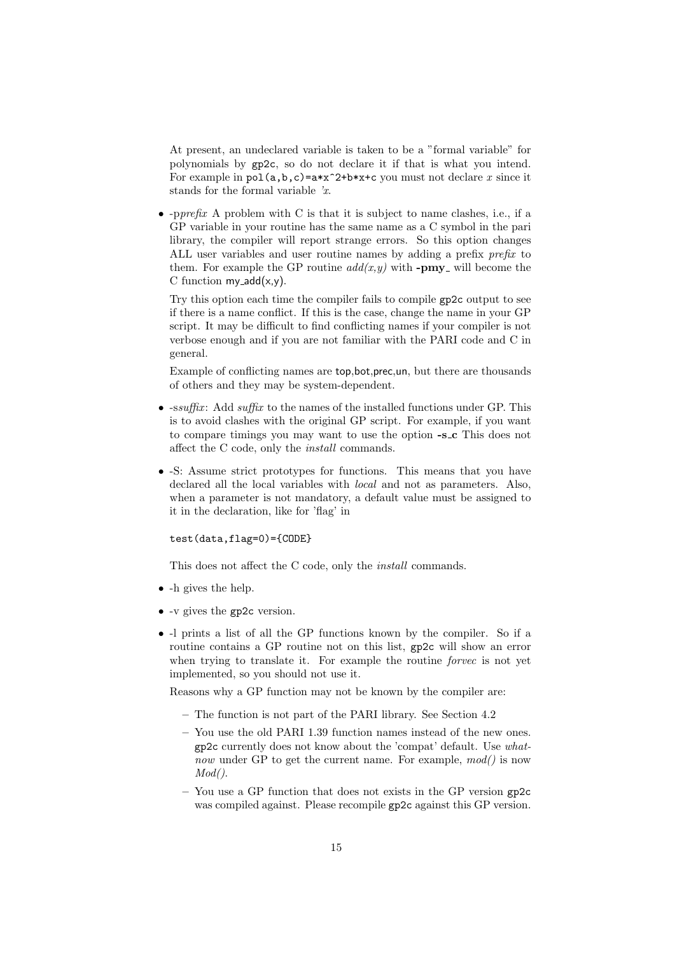At present, an undeclared variable is taken to be a "formal variable" for polynomials by gp2c, so do not declare it if that is what you intend. For example in  $pol(a,b,c)=a*x^2+b*x+c$  you must not declare x since it stands for the formal variable 'x.

• -pprefix A problem with C is that it is subject to name clashes, i.e., if a GP variable in your routine has the same name as a C symbol in the pari library, the compiler will report strange errors. So this option changes ALL user variables and user routine names by adding a prefix prefix to them. For example the GP routine  $add(x, y)$  with **-pmy** will become the C function  $my\_add(x,y)$ .

Try this option each time the compiler fails to compile gp2c output to see if there is a name conflict. If this is the case, change the name in your GP script. It may be difficult to find conflicting names if your compiler is not verbose enough and if you are not familiar with the PARI code and C in general.

Example of conflicting names are top,bot,prec,un, but there are thousands of others and they may be system-dependent.

- $\text{-}ssuffix: Add suffix to the names of the installed functions under GP. This$ is to avoid clashes with the original GP script. For example, if you want to compare timings you may want to use the option -s c This does not affect the C code, only the install commands.
- -S: Assume strict prototypes for functions. This means that you have declared all the local variables with local and not as parameters. Also, when a parameter is not mandatory, a default value must be assigned to it in the declaration, like for 'flag' in

test(data,flag=0)={CODE}

This does not affect the C code, only the install commands.

- -h gives the help.
- -v gives the gp2c version.
- -l prints a list of all the GP functions known by the compiler. So if a routine contains a GP routine not on this list, gp2c will show an error when trying to translate it. For example the routine *forvec* is not yet implemented, so you should not use it.

Reasons why a GP function may not be known by the compiler are:

- The function is not part of the PARI library. See Section 4.2
- You use the old PARI 1.39 function names instead of the new ones. gp2c currently does not know about the 'compat' default. Use whatnow under GP to get the current name. For example,  $mod()$  is now  $Mod()$ .
- You use a GP function that does not exists in the GP version gp2c was compiled against. Please recompile gp2c against this GP version.